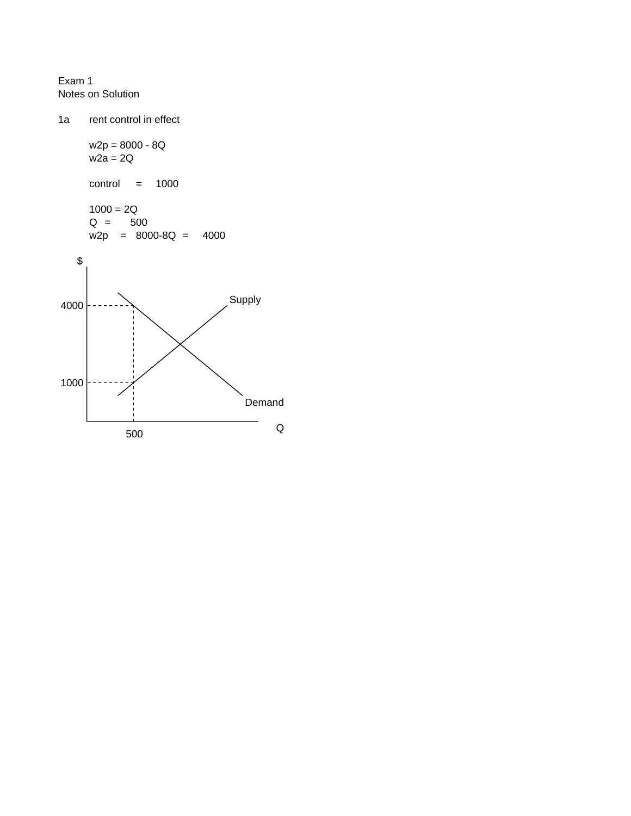Exam 1 Notes on Solution

1a rent control in effect w2p = 8000 - 8Q  $w2a = 2Q$ control = 1000  $1000 = 2Q$ Q = 500 w2p = 8000-8Q = 4000 \$ Supply Demand Q 1000 4000 500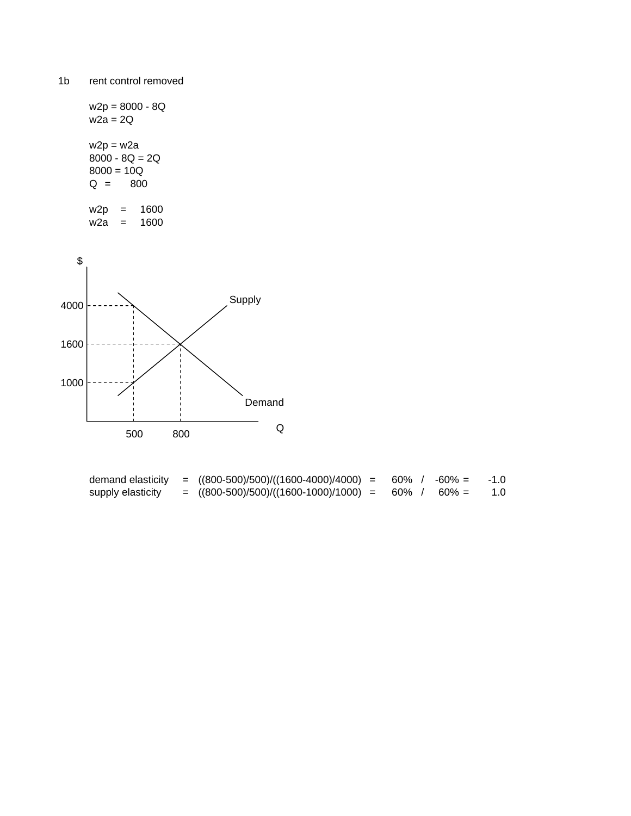w2p = 8000 - 8Q  $w2a = 2Q$  $w2p = w2a$  $8000 - 8Q = 2Q$  $8000 = 10Q$ Q = 800





| demand elasticity | $=$ ((800-500)/500)/((1600-4000)/4000) = | 60% | $-60\% =$ | $-1.0$ |
|-------------------|------------------------------------------|-----|-----------|--------|
| supply elasticity | $=$ ((800-500)/500)/((1600-1000)/1000) = | 60% | $60\% =$  | 1.0    |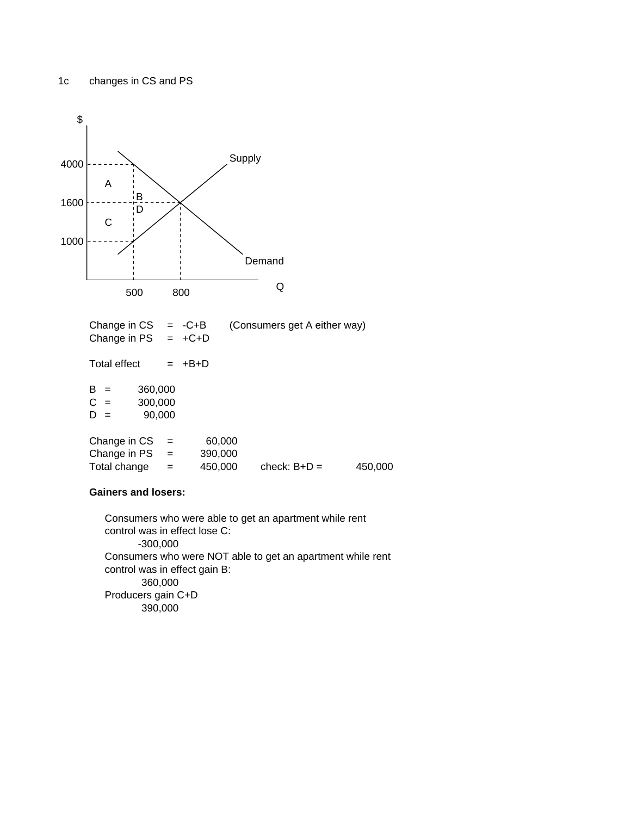

## **Gainers and losers:**

Producers gain C+D 360,000 390,000 -300,000 Consumers who were able to get an apartment while rent control was in effect lose C: Consumers who were NOT able to get an apartment while rent control was in effect gain B: